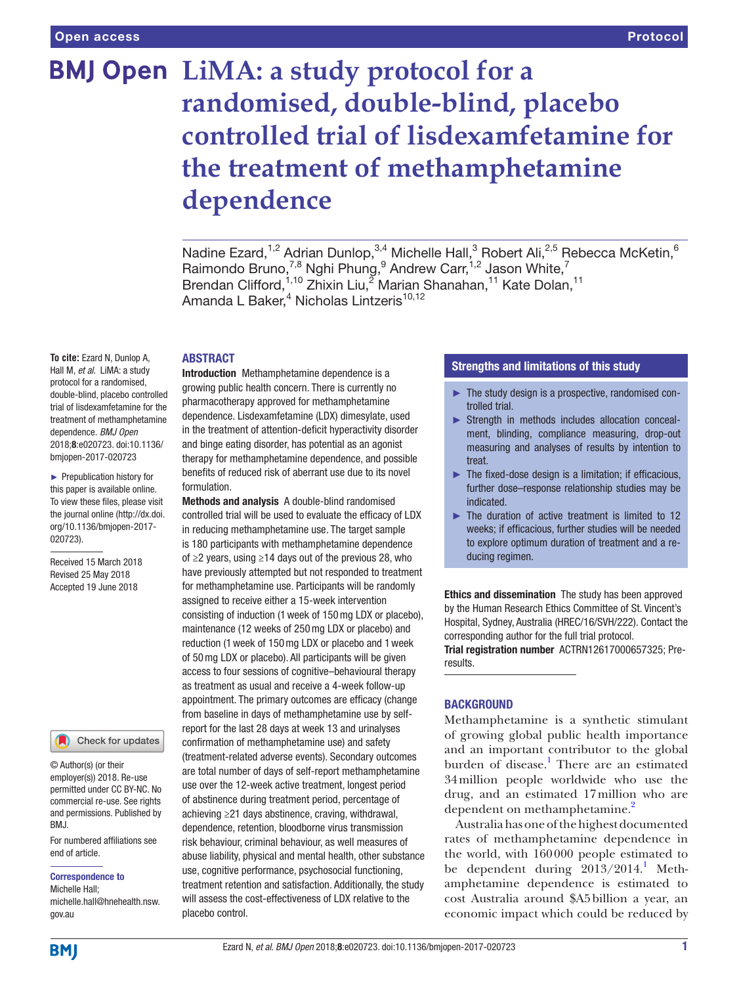# **BMJ Open** LiMA: a study protocol for a **randomised, double-blind, placebo controlled trial of lisdexamfetamine for the treatment of methamphetamine dependence**

Nadine Ezard,<sup>1,2</sup> Adrian Dunlop,<sup>3,4</sup> Michelle Hall,<sup>3</sup> Robert Ali,<sup>2,5</sup> Rebecca McKetin,<sup>6</sup> Raimondo Bruno,<sup>7,8</sup> Nghi Phung,<sup>9</sup> Andrew Carr,<sup>1,2</sup> Jason White,<sup>7</sup> Brendan Clifford,<sup>1,10</sup> Zhixin Liu,<sup>2</sup> Marian Shanahan,<sup>11</sup> Kate Dolan,<sup>11</sup> Amanda L Baker,<sup>4</sup> Nicholas Lintzeris<sup>10,12</sup>

# **ABSTRACT**

**To cite:** Ezard N, Dunlop A, Hall M, *et al*. LiMA: a study protocol for a randomised, double-blind, placebo controlled trial of lisdexamfetamine for the treatment of methamphetamine dependence. *BMJ Open* 2018;8:e020723. doi:10.1136/ bmjopen-2017-020723

► Prepublication history for this paper is available online. To view these files, please visit the journal online [\(http://dx.doi.](http://dx.doi.org/10.1136/bmjopen-2017-020723) [org/10.1136/bmjopen-2017-](http://dx.doi.org/10.1136/bmjopen-2017-020723) [020723\)](http://dx.doi.org/10.1136/bmjopen-2017-020723).

Received 15 March 2018 Revised 25 May 2018 Accepted 19 June 2018

### Check for updates

© Author(s) (or their employer(s)) 2018. Re-use permitted under CC BY-NC. No commercial re-use. See rights and permissions. Published by BMJ.

For numbered affiliations see end of article.

### Correspondence to

Michelle Hall; michelle.hall@hnehealth.nsw. gov.au

Introduction Methamphetamine dependence is a growing public health concern. There is currently no pharmacotherapy approved for methamphetamine dependence. Lisdexamfetamine (LDX) dimesylate, used in the treatment of attention-deficit hyperactivity disorder and binge eating disorder, has potential as an agonist therapy for methamphetamine dependence, and possible benefits of reduced risk of aberrant use due to its novel formulation.

Methods and analysis A double-blind randomised controlled trial will be used to evaluate the efficacy of LDX in reducing methamphetamine use. The target sample is 180 participants with methamphetamine dependence of ≥2 years, using ≥14 days out of the previous 28, who have previously attempted but not responded to treatment for methamphetamine use. Participants will be randomly assigned to receive either a 15-week intervention consisting of induction (1week of 150mg LDX or placebo), maintenance (12 weeks of 250mg LDX or placebo) and reduction (1week of 150mg LDX or placebo and 1week of 50mg LDX or placebo). All participants will be given access to four sessions of cognitive–behavioural therapy as treatment as usual and receive a 4-week follow-up appointment. The primary outcomes are efficacy (change from baseline in days of methamphetamine use by selfreport for the last 28 days at week 13 and urinalyses confirmation of methamphetamine use) and safety (treatment-related adverse events). Secondary outcomes are total number of days of self-report methamphetamine use over the 12-week active treatment, longest period of abstinence during treatment period, percentage of achieving ≥21 days abstinence, craving, withdrawal, dependence, retention, bloodborne virus transmission risk behaviour, criminal behaviour, as well measures of abuse liability, physical and mental health, other substance use, cognitive performance, psychosocial functioning, treatment retention and satisfaction. Additionally, the study will assess the cost-effectiveness of LDX relative to the placebo control.

### Strengths and limitations of this study

- ► The study design is a prospective, randomised controlled trial.
- ► Strength in methods includes allocation concealment, blinding, compliance measuring, drop-out measuring and analyses of results by intention to treat.
- ► The fixed-dose design is a limitation; if efficacious, further dose–response relationship studies may be indicated.
- ► The duration of active treatment is limited to 12 weeks; if efficacious, further studies will be needed to explore optimum duration of treatment and a reducing regimen.

Ethics and dissemination The study has been approved by the Human Research Ethics Committee of St. Vincent's Hospital, Sydney, Australia (HREC/16/SVH/222). Contact the corresponding author for the full trial protocol. Trial registration number ACTRN12617000657325; Pre-

results.

# **BACKGROUND**

Methamphetamine is a synthetic stimulant of growing global public health importance and an important contributor to the global burden of disease.<sup>[1](#page-7-0)</sup> There are an estimated 34million people worldwide who use the drug, and an estimated 17million who are dependent on methamphetamine.<sup>[2](#page-7-1)</sup>

Australia has one of the highest documented rates of methamphetamine dependence in the world, with 160000 people estimated to be dependent during  $2013/2014$  $2013/2014$  $2013/2014$ . Methamphetamine dependence is estimated to cost Australia around \$A5billion a year, an economic impact which could be reduced by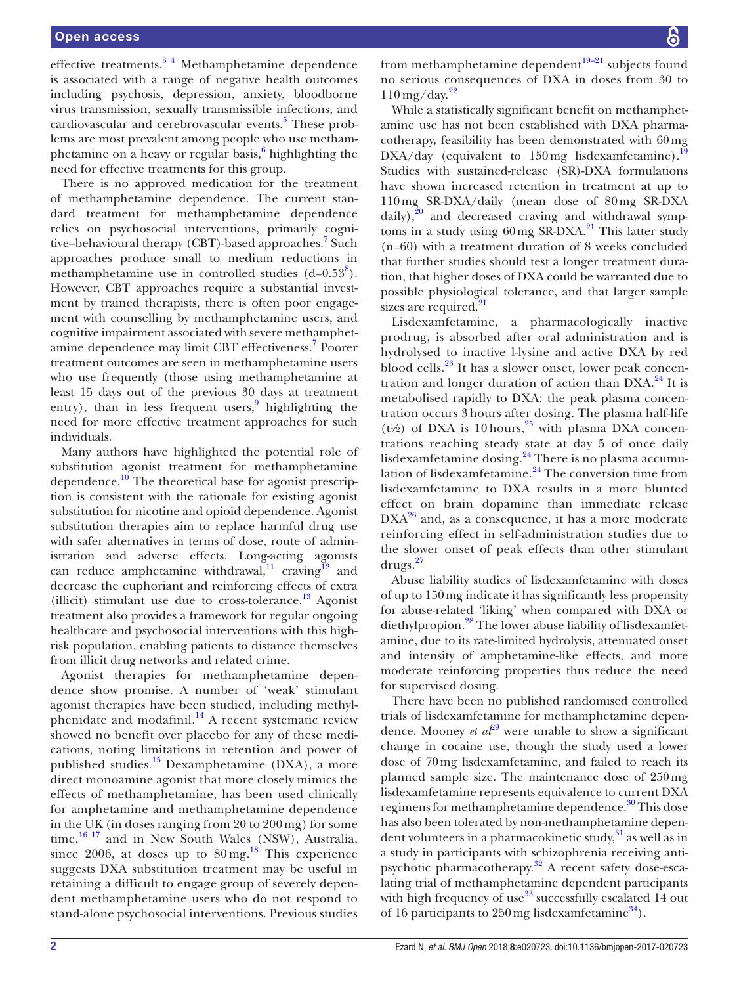### Open access

effective treatments.[3 4](#page-7-2) Methamphetamine dependence is associated with a range of negative health outcomes including psychosis, depression, anxiety, bloodborne virus transmission, sexually transmissible infections, and cardiovascular and cerebrovascular events.<sup>5</sup> These problems are most prevalent among people who use metham-phetamine on a heavy or regular basis,<sup>[6](#page-7-4)</sup> highlighting the need for effective treatments for this group.

There is no approved medication for the treatment of methamphetamine dependence. The current standard treatment for methamphetamine dependence relies on psychosocial interventions, primarily cogni-tive-behavioural therapy (CBT)-based approaches.<sup>[7](#page-7-5)</sup> Such approaches produce small to medium reductions in methamphetamine use in controlled studies  $(d=0.53^8)$  $(d=0.53^8)$  $(d=0.53^8)$ . However, CBT approaches require a substantial investment by trained therapists, there is often poor engagement with counselling by methamphetamine users, and cognitive impairment associated with severe methamphet-amine dependence may limit CBT effectiveness.<sup>[7](#page-7-5)</sup> Poorer treatment outcomes are seen in methamphetamine users who use frequently (those using methamphetamine at least 15 days out of the previous 30 days at treatment entry), than in less frequent users,<sup>9</sup> highlighting the need for more effective treatment approaches for such individuals.

Many authors have highlighted the potential role of substitution agonist treatment for methamphetamine dependence[.10](#page-7-8) The theoretical base for agonist prescription is consistent with the rationale for existing agonist substitution for nicotine and opioid dependence. Agonist substitution therapies aim to replace harmful drug use with safer alternatives in terms of dose, route of administration and adverse effects. Long-acting agonists can reduce amphetamine withdrawal,<sup>11</sup> craving<sup>12</sup> and decrease the euphoriant and reinforcing effects of extra (illicit) stimulant use due to cross-tolerance.<sup>[13](#page-7-11)</sup> Agonist treatment also provides a framework for regular ongoing healthcare and psychosocial interventions with this highrisk population, enabling patients to distance themselves from illicit drug networks and related crime.

Agonist therapies for methamphetamine dependence show promise. A number of 'weak' stimulant agonist therapies have been studied, including methyl-phenidate and modafinil.<sup>[14](#page-7-12)</sup> A recent systematic review showed no benefit over placebo for any of these medications, noting limitations in retention and power of published studies.[15](#page-7-13) Dexamphetamine (DXA), a more direct monoamine agonist that more closely mimics the effects of methamphetamine, has been used clinically for amphetamine and methamphetamine dependence in the UK (in doses ranging from 20 to 200 mg) for some time, $16 \frac{16}{7}$  and in New South Wales (NSW), Australia, since 2006, at doses up to  $80 \,\mathrm{mg}$ .<sup>18</sup> This experience suggests DXA substitution treatment may be useful in retaining a difficult to engage group of severely dependent methamphetamine users who do not respond to stand-alone psychosocial interventions. Previous studies

from methamphetamine dependent $19-21$  subjects found no serious consequences of DXA in doses from 30 to  $110 \,\mathrm{mg}/\mathrm{day}$ .<sup>[22](#page-7-17)</sup>

While a statistically significant benefit on methamphetamine use has not been established with DXA pharmacotherapy, feasibility has been demonstrated with 60mg  $DXA/day$  (equivalent to 150 mg lisdexamfetamine).<sup>[19](#page-7-16)</sup> Studies with sustained-release (SR)-DXA formulations have shown increased retention in treatment at up to 110mg SR-DXA/daily (mean dose of 80mg SR-DXA daily), $20$  and decreased craving and withdrawal symptoms in a study using  $60 \,\text{mg SR-DXA}.$ <sup>[21](#page-7-19)</sup> This latter study (n=60) with a treatment duration of 8 weeks concluded that further studies should test a longer treatment duration, that higher doses of DXA could be warranted due to possible physiological tolerance, and that larger sample sizes are required.<sup>[21](#page-7-19)</sup>

Lisdexamfetamine, a pharmacologically inactive prodrug, is absorbed after oral administration and is hydrolysed to inactive l-lysine and active DXA by red blood cells.<sup>23</sup> It has a slower onset, lower peak concentration and longer duration of action than  $DXA<sup>24</sup>$  It is metabolised rapidly to DXA: the peak plasma concentration occurs 3 hours after dosing. The plasma half-life ( $t\frac{1}{2}$ ) of DXA is 10 hours,<sup>[25](#page-7-22)</sup> with plasma DXA concentrations reaching steady state at day 5 of once daily lisdexamfetamine dosing.[24](#page-7-21) There is no plasma accumu-lation of lisdexamfetamine.<sup>[24](#page-7-21)</sup> The conversion time from lisdexamfetamine to DXA results in a more blunted effect on brain dopamine than immediate release  $DXA^{26}$  and, as a consequence, it has a more moderate reinforcing effect in self-administration studies due to the slower onset of peak effects than other stimulant drugs.[27](#page-7-24)

Abuse liability studies of lisdexamfetamine with doses of up to 150mg indicate it has significantly less propensity for abuse-related 'liking' when compared with DXA or diethylpropion.<sup>28</sup> The lower abuse liability of lisdexamfetamine, due to its rate-limited hydrolysis, attenuated onset and intensity of amphetamine-like effects, and more moderate reinforcing properties thus reduce the need for supervised dosing.

There have been no published randomised controlled trials of lisdexamfetamine for methamphetamine dependence. Mooney *et al*<sup>29</sup> were unable to show a significant change in cocaine use, though the study used a lower dose of 70mg lisdexamfetamine, and failed to reach its planned sample size. The maintenance dose of 250mg lisdexamfetamine represents equivalence to current DXA regimens for methamphetamine dependence.<sup>30</sup> This dose has also been tolerated by non-methamphetamine dependent volunteers in a pharmacokinetic study, $31$  as well as in a study in participants with schizophrenia receiving antipsychotic pharmacotherapy[.32](#page-7-29) A recent safety dose-escalating trial of methamphetamine dependent participants with high frequency of use $33$  successfully escalated 14 out of 16 participants to  $250 \,\mathrm{mg}$  lisdexamfetamine<sup>34</sup>).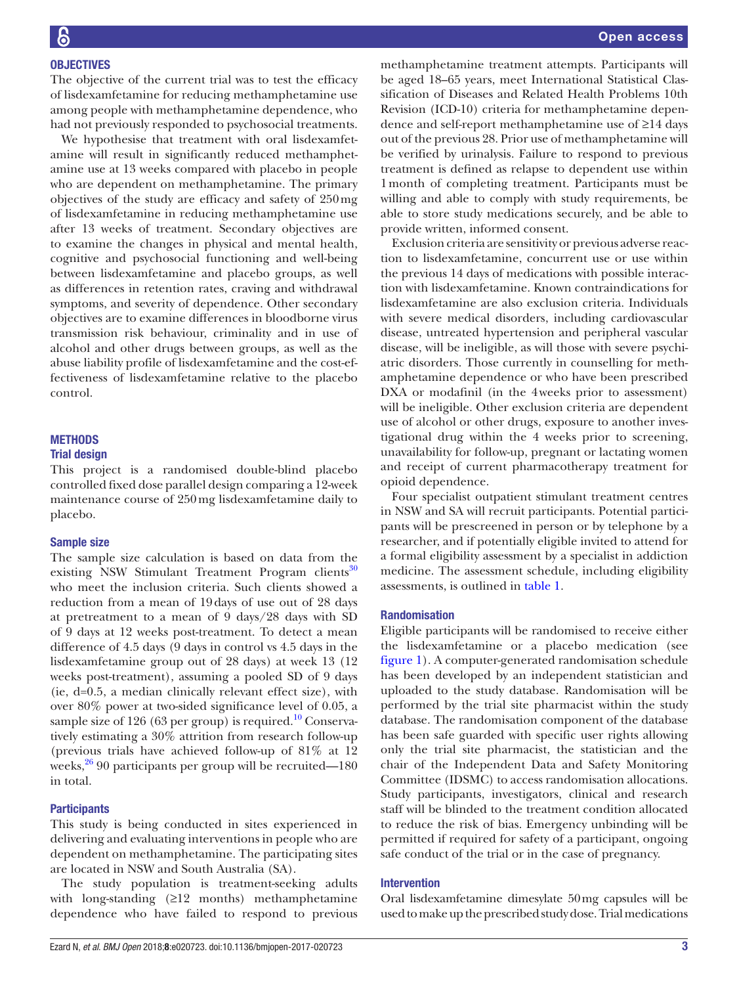The objective of the current trial was to test the efficacy of lisdexamfetamine for reducing methamphetamine use among people with methamphetamine dependence, who had not previously responded to psychosocial treatments.

We hypothesise that treatment with oral lisdexamfetamine will result in significantly reduced methamphetamine use at 13 weeks compared with placebo in people who are dependent on methamphetamine. The primary objectives of the study are efficacy and safety of 250mg of lisdexamfetamine in reducing methamphetamine use after 13 weeks of treatment. Secondary objectives are to examine the changes in physical and mental health, cognitive and psychosocial functioning and well-being between lisdexamfetamine and placebo groups, as well as differences in retention rates, craving and withdrawal symptoms, and severity of dependence. Other secondary objectives are to examine differences in bloodborne virus transmission risk behaviour, criminality and in use of alcohol and other drugs between groups, as well as the abuse liability profile of lisdexamfetamine and the cost-effectiveness of lisdexamfetamine relative to the placebo control.

# **METHODS**

### Trial design

This project is a randomised double-blind placebo controlled fixed dose parallel design comparing a 12-week maintenance course of 250mg lisdexamfetamine daily to placebo.

# Sample size

The sample size calculation is based on data from the existing NSW Stimulant Treatment Program clients<sup>30</sup> who meet the inclusion criteria. Such clients showed a reduction from a mean of 19days of use out of 28 days at pretreatment to a mean of 9 days/28 days with SD of 9 days at 12 weeks post-treatment. To detect a mean difference of 4.5 days (9 days in control vs 4.5 days in the lisdexamfetamine group out of 28 days) at week 13 (12 weeks post-treatment), assuming a pooled SD of 9 days (ie, d=0.5, a median clinically relevant effect size), with over 80% power at two-sided significance level of 0.05, a sample size of 126 (63 per group) is required.<sup>[10](#page-7-8)</sup> Conservatively estimating a 30% attrition from research follow-up (previous trials have achieved follow-up of 81% at 12 weeks, $26$  90 participants per group will be recruited—180 in total.

# **Participants**

This study is being conducted in sites experienced in delivering and evaluating interventions in people who are dependent on methamphetamine. The participating sites are located in NSW and South Australia (SA).

The study population is treatment-seeking adults with long-standing  $(≥12$  months) methamphetamine dependence who have failed to respond to previous

methamphetamine treatment attempts. Participants will be aged 18–65 years, meet International Statistical Classification of Diseases and Related Health Problems 10th Revision (ICD-10) criteria for methamphetamine dependence and self-report methamphetamine use of ≥14 days out of the previous 28. Prior use of methamphetamine will be verified by urinalysis. Failure to respond to previous treatment is defined as relapse to dependent use within 1month of completing treatment. Participants must be willing and able to comply with study requirements, be able to store study medications securely, and be able to provide written, informed consent.

Exclusion criteria are sensitivity or previous adverse reaction to lisdexamfetamine, concurrent use or use within the previous 14 days of medications with possible interaction with lisdexamfetamine. Known contraindications for lisdexamfetamine are also exclusion criteria. Individuals with severe medical disorders, including cardiovascular disease, untreated hypertension and peripheral vascular disease, will be ineligible, as will those with severe psychiatric disorders. Those currently in counselling for methamphetamine dependence or who have been prescribed DXA or modafinil (in the 4weeks prior to assessment) will be ineligible. Other exclusion criteria are dependent use of alcohol or other drugs, exposure to another investigational drug within the 4 weeks prior to screening, unavailability for follow-up, pregnant or lactating women and receipt of current pharmacotherapy treatment for opioid dependence.

Four specialist outpatient stimulant treatment centres in NSW and SA will recruit participants. Potential participants will be prescreened in person or by telephone by a researcher, and if potentially eligible invited to attend for a formal eligibility assessment by a specialist in addiction medicine. The assessment schedule, including eligibility assessments, is outlined in [table](#page-3-0) 1.

### Randomisation

Eligible participants will be randomised to receive either the lisdexamfetamine or a placebo medication (see [figure](#page-4-0) 1). A computer-generated randomisation schedule has been developed by an independent statistician and uploaded to the study database. Randomisation will be performed by the trial site pharmacist within the study database. The randomisation component of the database has been safe guarded with specific user rights allowing only the trial site pharmacist, the statistician and the chair of the Independent Data and Safety Monitoring Committee (IDSMC) to access randomisation allocations. Study participants, investigators, clinical and research staff will be blinded to the treatment condition allocated to reduce the risk of bias. Emergency unbinding will be permitted if required for safety of a participant, ongoing safe conduct of the trial or in the case of pregnancy.

### Intervention

Oral lisdexamfetamine dimesylate 50mg capsules will be used to make up the prescribed study dose. Trial medications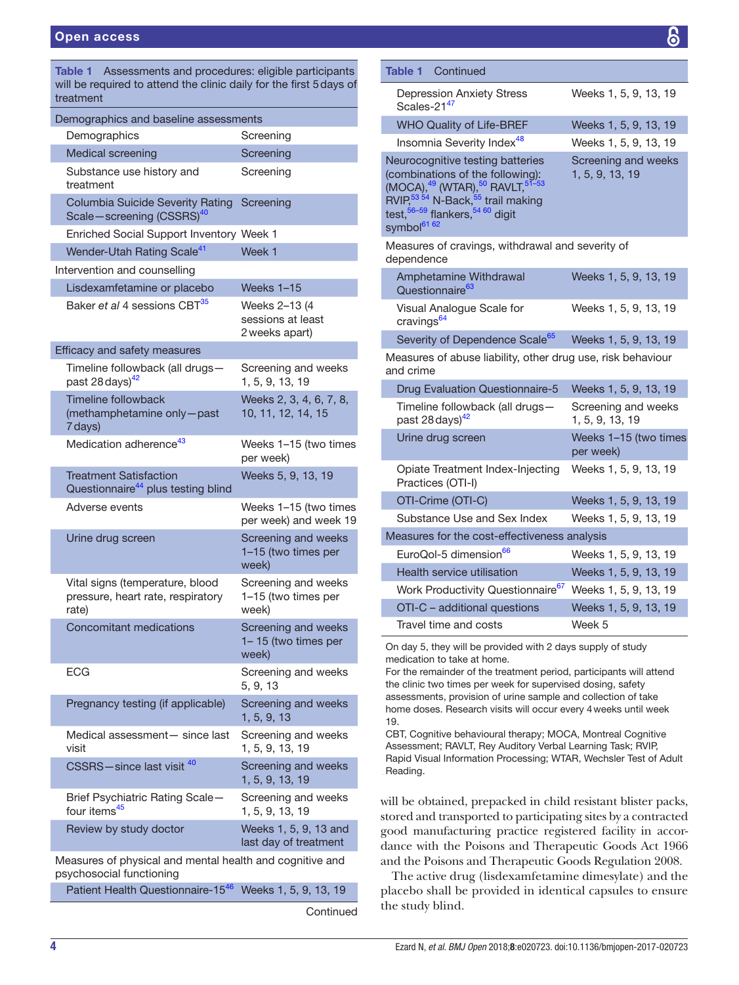<span id="page-3-0"></span>

| Table 1 Assessments and procedures: eligible participants<br>will be required to attend the clinic daily for the first 5 days of<br>treatment |                                                      |
|-----------------------------------------------------------------------------------------------------------------------------------------------|------------------------------------------------------|
| Demographics and baseline assessments                                                                                                         |                                                      |
| Demographics                                                                                                                                  | Screening                                            |
| <b>Medical screening</b>                                                                                                                      | Screening                                            |
| Substance use history and<br>treatment                                                                                                        | Screening                                            |
| <b>Columbia Suicide Severity Rating</b><br>Scale-screening (CSSRS) <sup>40</sup>                                                              | Screening                                            |
| Enriched Social Support Inventory Week 1                                                                                                      |                                                      |
| Wender-Utah Rating Scale <sup>41</sup>                                                                                                        | Week 1                                               |
| Intervention and counselling                                                                                                                  |                                                      |
| Lisdexamfetamine or placebo                                                                                                                   | Weeks 1-15                                           |
| Baker et al 4 sessions CBT <sup>35</sup>                                                                                                      | Weeks 2-13 (4<br>sessions at least<br>2 weeks apart) |
| Efficacy and safety measures                                                                                                                  |                                                      |
| Timeline followback (all drugs-<br>past 28 days) <sup>42</sup>                                                                                | Screening and weeks<br>1, 5, 9, 13, 19               |
| Timeline followback<br>(methamphetamine only-past<br>7 days)                                                                                  | Weeks 2, 3, 4, 6, 7, 8,<br>10, 11, 12, 14, 15        |
| Medication adherence <sup>43</sup>                                                                                                            | Weeks 1-15 (two times<br>per week)                   |
| <b>Treatment Satisfaction</b><br>Questionnaire <sup>44</sup> plus testing blind                                                               | Weeks 5, 9, 13, 19                                   |
| Adverse events                                                                                                                                | Weeks 1–15 (two times<br>per week) and week 19       |
| Urine drug screen                                                                                                                             | Screening and weeks<br>1-15 (two times per<br>week)  |
| Vital signs (temperature, blood<br>pressure, heart rate, respiratory<br>rate)                                                                 | Screening and weeks<br>1-15 (two times per<br>week)  |
| <b>Concomitant medications</b>                                                                                                                | Screening and weeks<br>1-15 (two times per<br>week)  |
| ECG                                                                                                                                           | Screening and weeks<br>5, 9, 13                      |
| Pregnancy testing (if applicable)                                                                                                             | Screening and weeks<br>1, 5, 9, 13                   |
| Medical assessment- since last<br>visit                                                                                                       | Screening and weeks<br>1, 5, 9, 13, 19               |
| CSSRS-since last visit 40                                                                                                                     | Screening and weeks<br>1, 5, 9, 13, 19               |
| Brief Psychiatric Rating Scale-<br>four items <sup>45</sup>                                                                                   | Screening and weeks<br>1, 5, 9, 13, 19               |
| Review by study doctor                                                                                                                        | Weeks 1, 5, 9, 13 and<br>last day of treatment       |
| Measures of physical and mental health and cognitive and                                                                                      |                                                      |
| psychosocial functioning<br>Patient Health Questionnaire-1546                                                                                 | Weeks 1, 5, 9, 13, 19                                |
|                                                                                                                                               |                                                      |

**Continued** 

| Table 1<br>Continued                                                                                                                                                                                                                                 |                                        |
|------------------------------------------------------------------------------------------------------------------------------------------------------------------------------------------------------------------------------------------------------|----------------------------------------|
| <b>Depression Anxiety Stress</b><br>Scales-21 <sup>47</sup>                                                                                                                                                                                          | Weeks 1, 5, 9, 13, 19                  |
| <b>WHO Quality of Life-BREF</b>                                                                                                                                                                                                                      | Weeks 1, 5, 9, 13, 19                  |
| Insomnia Severity Index <sup>48</sup>                                                                                                                                                                                                                | Weeks 1, 5, 9, 13, 19                  |
| Neurocognitive testing batteries<br>(combinations of the following):<br>(MOCA), $^{49}$ (WTAR), $^{50}$ RAVLT, $^{51-53}$<br>RVIP, $^{53}$ 54 N-Back, $^{55}$ trail making<br>test, $^{56-59}$ flankers, $^{54}$ 60 digit<br>symbol <sup>61 62</sup> | Screening and weeks<br>1, 5, 9, 13, 19 |
| Measures of cravings, withdrawal and severity of<br>dependence                                                                                                                                                                                       |                                        |
| Amphetamine Withdrawal<br>Questionnaire <sup>63</sup>                                                                                                                                                                                                | Weeks 1, 5, 9, 13, 19                  |
| Visual Analogue Scale for<br>cravings <sup>64</sup>                                                                                                                                                                                                  | Weeks 1, 5, 9, 13, 19                  |
| Severity of Dependence Scale <sup>65</sup>                                                                                                                                                                                                           | Weeks 1, 5, 9, 13, 19                  |
| Measures of abuse liability, other drug use, risk behaviour<br>and crime                                                                                                                                                                             |                                        |
| <b>Drug Evaluation Questionnaire-5</b>                                                                                                                                                                                                               | Weeks 1, 5, 9, 13, 19                  |
| Timeline followback (all drugs-<br>past 28 days) <sup>42</sup>                                                                                                                                                                                       | Screening and weeks<br>1, 5, 9, 13, 19 |
| Urine drug screen                                                                                                                                                                                                                                    |                                        |
|                                                                                                                                                                                                                                                      | Weeks 1-15 (two times<br>per week)     |
| Opiate Treatment Index-Injecting<br>Practices (OTI-I)                                                                                                                                                                                                | Weeks 1, 5, 9, 13, 19                  |
| OTI-Crime (OTI-C)                                                                                                                                                                                                                                    | Weeks 1, 5, 9, 13, 19                  |
| Substance Use and Sex Index                                                                                                                                                                                                                          | Weeks 1, 5, 9, 13, 19                  |
| Measures for the cost-effectiveness analysis                                                                                                                                                                                                         |                                        |
| EuroQol-5 dimension <sup>66</sup>                                                                                                                                                                                                                    | Weeks 1, 5, 9, 13, 19                  |
| <b>Health service utilisation</b>                                                                                                                                                                                                                    | Weeks 1, 5, 9, 13, 19                  |
| Work Productivity Questionnaire <sup>67</sup>                                                                                                                                                                                                        | Weeks 1, 5, 9, 13, 19                  |
| OTI-C - additional questions                                                                                                                                                                                                                         | Weeks 1, 5, 9, 13, 19                  |

On day 5, they will be provided with 2 days supply of study medication to take at home.

For the remainder of the treatment period, participants will attend the clinic two times per week for supervised dosing, safety assessments, provision of urine sample and collection of take home doses. Research visits will occur every 4weeks until week 19.

CBT, Cognitive behavioural therapy; MOCA, Montreal Cognitive Assessment; RAVLT, Rey Auditory Verbal Learning Task; RVIP, Rapid Visual Information Processing; WTAR, Wechsler Test of Adult Reading.

will be obtained, prepacked in child resistant blister packs, stored and transported to participating sites by a contracted good manufacturing practice registered facility in accordance with the Poisons and Therapeutic Goods Act 1966 and the Poisons and Therapeutic Goods Regulation 2008.

The active drug (lisdexamfetamine dimesylate) and the placebo shall be provided in identical capsules to ensure the study blind.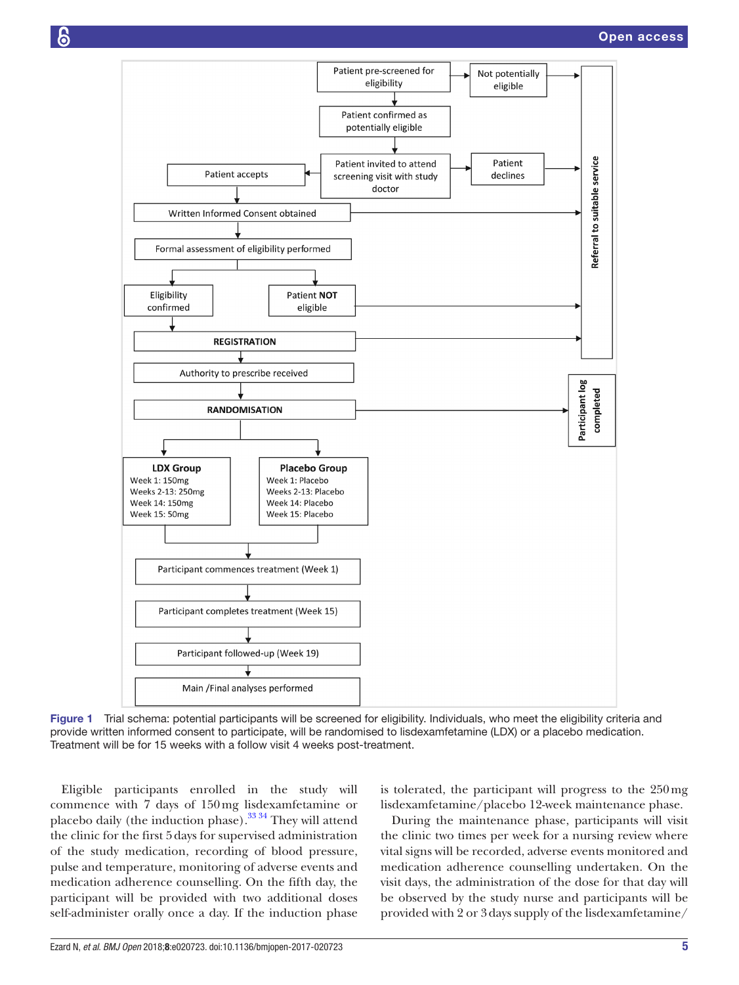

<span id="page-4-0"></span>Figure 1 Trial schema: potential participants will be screened for eligibility. Individuals, who meet the eligibility criteria and provide written informed consent to participate, will be randomised to lisdexamfetamine (LDX) or a placebo medication. Treatment will be for 15 weeks with a follow visit 4 weeks post-treatment.

Eligible participants enrolled in the study will commence with 7 days of 150mg lisdexamfetamine or placebo daily (the induction phase). $33\frac{34}{1}$  They will attend the clinic for the first 5days for supervised administration of the study medication, recording of blood pressure, pulse and temperature, monitoring of adverse events and medication adherence counselling. On the fifth day, the participant will be provided with two additional doses self-administer orally once a day. If the induction phase

is tolerated, the participant will progress to the 250mg lisdexamfetamine/placebo 12-week maintenance phase.

During the maintenance phase, participants will visit the clinic two times per week for a nursing review where vital signs will be recorded, adverse events monitored and medication adherence counselling undertaken. On the visit days, the administration of the dose for that day will be observed by the study nurse and participants will be provided with 2 or 3days supply of the lisdexamfetamine/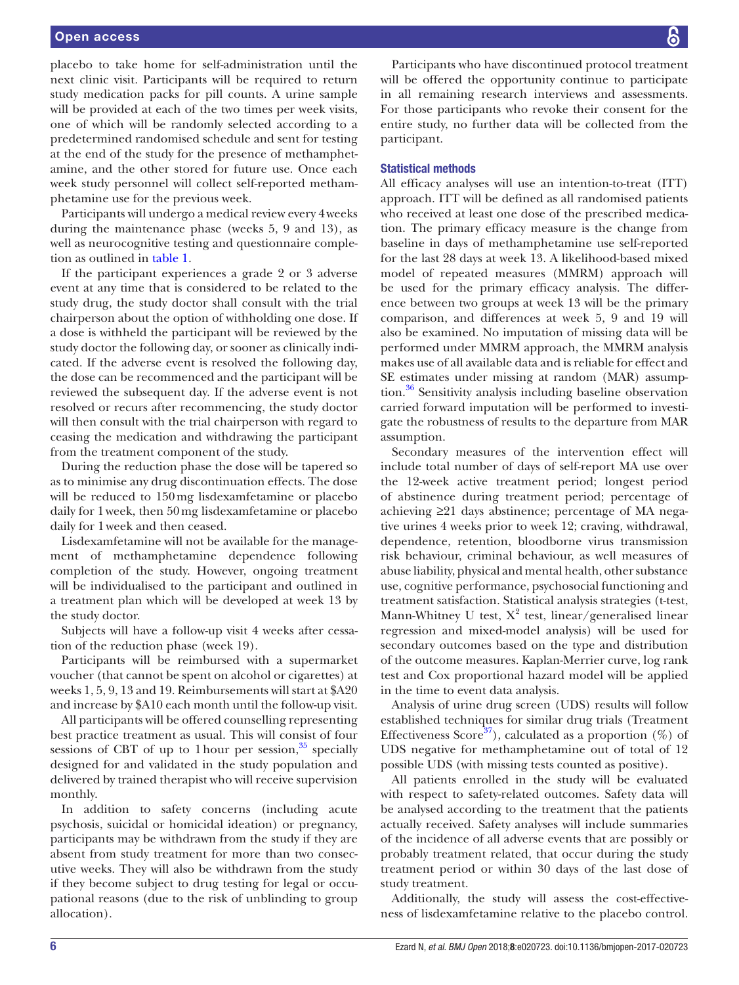### Open access

placebo to take home for self-administration until the next clinic visit. Participants will be required to return study medication packs for pill counts. A urine sample will be provided at each of the two times per week visits, one of which will be randomly selected according to a predetermined randomised schedule and sent for testing at the end of the study for the presence of methamphetamine, and the other stored for future use. Once each week study personnel will collect self-reported methamphetamine use for the previous week.

Participants will undergo a medical review every 4weeks during the maintenance phase (weeks 5, 9 and 13), as well as neurocognitive testing and questionnaire completion as outlined in [table](#page-3-0) 1.

If the participant experiences a grade 2 or 3 adverse event at any time that is considered to be related to the study drug, the study doctor shall consult with the trial chairperson about the option of withholding one dose. If a dose is withheld the participant will be reviewed by the study doctor the following day, or sooner as clinically indicated. If the adverse event is resolved the following day, the dose can be recommenced and the participant will be reviewed the subsequent day. If the adverse event is not resolved or recurs after recommencing, the study doctor will then consult with the trial chairperson with regard to ceasing the medication and withdrawing the participant from the treatment component of the study.

During the reduction phase the dose will be tapered so as to minimise any drug discontinuation effects. The dose will be reduced to 150mg lisdexamfetamine or placebo daily for 1week, then 50mg lisdexamfetamine or placebo daily for 1week and then ceased.

Lisdexamfetamine will not be available for the management of methamphetamine dependence following completion of the study. However, ongoing treatment will be individualised to the participant and outlined in a treatment plan which will be developed at week 13 by the study doctor.

Subjects will have a follow-up visit 4 weeks after cessation of the reduction phase (week 19).

Participants will be reimbursed with a supermarket voucher (that cannot be spent on alcohol or cigarettes) at weeks 1, 5, 9, 13 and 19. Reimbursements will start at \$A20 and increase by \$A10 each month until the follow-up visit.

All participants will be offered counselling representing best practice treatment as usual. This will consist of four sessions of CBT of up to 1 hour per session,  $35$  specially designed for and validated in the study population and delivered by trained therapist who will receive supervision monthly.

In addition to safety concerns (including acute psychosis, suicidal or homicidal ideation) or pregnancy, participants may be withdrawn from the study if they are absent from study treatment for more than two consecutive weeks. They will also be withdrawn from the study if they become subject to drug testing for legal or occupational reasons (due to the risk of unblinding to group allocation).

Participants who have discontinued protocol treatment will be offered the opportunity continue to participate in all remaining research interviews and assessments. For those participants who revoke their consent for the entire study, no further data will be collected from the participant.

### Statistical methods

All efficacy analyses will use an intention-to-treat (ITT) approach. ITT will be defined as all randomised patients who received at least one dose of the prescribed medication. The primary efficacy measure is the change from baseline in days of methamphetamine use self-reported for the last 28 days at week 13. A likelihood-based mixed model of repeated measures (MMRM) approach will be used for the primary efficacy analysis. The difference between two groups at week 13 will be the primary comparison, and differences at week 5, 9 and 19 will also be examined. No imputation of missing data will be performed under MMRM approach, the MMRM analysis makes use of all available data and is reliable for effect and SE estimates under missing at random (MAR) assumption.<sup>36</sup> Sensitivity analysis including baseline observation carried forward imputation will be performed to investigate the robustness of results to the departure from MAR assumption.

Secondary measures of the intervention effect will include total number of days of self-report MA use over the 12-week active treatment period; longest period of abstinence during treatment period; percentage of achieving ≥21 days abstinence; percentage of MA negative urines 4 weeks prior to week 12; craving, withdrawal, dependence, retention, bloodborne virus transmission risk behaviour, criminal behaviour, as well measures of abuse liability, physical and mental health, other substance use, cognitive performance, psychosocial functioning and treatment satisfaction. Statistical analysis strategies (t-test, Mann-Whitney U test,  $X^2$  test, linear/generalised linear regression and mixed-model analysis) will be used for secondary outcomes based on the type and distribution of the outcome measures. Kaplan-Merrier curve, log rank test and Cox proportional hazard model will be applied in the time to event data analysis.

Analysis of urine drug screen (UDS) results will follow established techniques for similar drug trials (Treatment Effectiveness Score<sup>37</sup>), calculated as a proportion  $(\%)$  of UDS negative for methamphetamine out of total of 12 possible UDS (with missing tests counted as positive).

All patients enrolled in the study will be evaluated with respect to safety-related outcomes. Safety data will be analysed according to the treatment that the patients actually received. Safety analyses will include summaries of the incidence of all adverse events that are possibly or probably treatment related, that occur during the study treatment period or within 30 days of the last dose of study treatment.

Additionally, the study will assess the cost-effectiveness of lisdexamfetamine relative to the placebo control.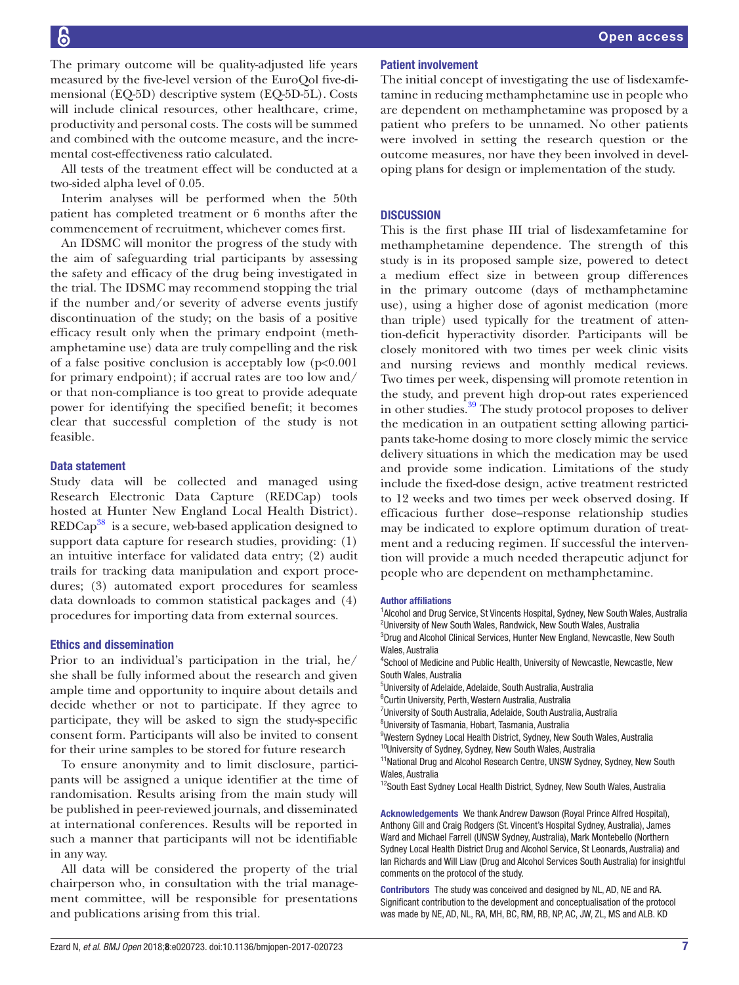The primary outcome will be quality-adjusted life years measured by the five-level version of the EuroQol five-dimensional (EQ-5D) descriptive system (EQ-5D-5L). Costs will include clinical resources, other healthcare, crime, productivity and personal costs. The costs will be summed and combined with the outcome measure, and the incremental cost-effectiveness ratio calculated.

All tests of the treatment effect will be conducted at a two-sided alpha level of 0.05.

Interim analyses will be performed when the 50th patient has completed treatment or 6 months after the commencement of recruitment, whichever comes first.

An IDSMC will monitor the progress of the study with the aim of safeguarding trial participants by assessing the safety and efficacy of the drug being investigated in the trial. The IDSMC may recommend stopping the trial if the number and/or severity of adverse events justify discontinuation of the study; on the basis of a positive efficacy result only when the primary endpoint (methamphetamine use) data are truly compelling and the risk of a false positive conclusion is acceptably low  $(p<0.001)$ for primary endpoint); if accrual rates are too low and/ or that non-compliance is too great to provide adequate power for identifying the specified benefit; it becomes clear that successful completion of the study is not feasible.

### Data statement

Study data will be collected and managed using Research Electronic Data Capture (REDCap) tools hosted at Hunter New England Local Health District). REDCap<sup>38</sup> is a secure, web-based application designed to support data capture for research studies, providing: (1) an intuitive interface for validated data entry; (2) audit trails for tracking data manipulation and export procedures; (3) automated export procedures for seamless data downloads to common statistical packages and (4) procedures for importing data from external sources.

### Ethics and dissemination

Prior to an individual's participation in the trial, he/ she shall be fully informed about the research and given ample time and opportunity to inquire about details and decide whether or not to participate. If they agree to participate, they will be asked to sign the study-specific consent form. Participants will also be invited to consent for their urine samples to be stored for future research

To ensure anonymity and to limit disclosure, participants will be assigned a unique identifier at the time of randomisation. Results arising from the main study will be published in peer-reviewed journals, and disseminated at international conferences. Results will be reported in such a manner that participants will not be identifiable in any way.

All data will be considered the property of the trial chairperson who, in consultation with the trial management committee, will be responsible for presentations and publications arising from this trial.

### Patient involvement

The initial concept of investigating the use of lisdexamfetamine in reducing methamphetamine use in people who are dependent on methamphetamine was proposed by a patient who prefers to be unnamed. No other patients were involved in setting the research question or the outcome measures, nor have they been involved in developing plans for design or implementation of the study.

### **DISCUSSION**

This is the first phase III trial of lisdexamfetamine for methamphetamine dependence. The strength of this study is in its proposed sample size, powered to detect a medium effect size in between group differences in the primary outcome (days of methamphetamine use), using a higher dose of agonist medication (more than triple) used typically for the treatment of attention-deficit hyperactivity disorder. Participants will be closely monitored with two times per week clinic visits and nursing reviews and monthly medical reviews. Two times per week, dispensing will promote retention in the study, and prevent high drop-out rates experienced in other studies.<sup>39</sup> The study protocol proposes to deliver the medication in an outpatient setting allowing participants take-home dosing to more closely mimic the service delivery situations in which the medication may be used and provide some indication. Limitations of the study include the fixed-dose design, active treatment restricted to 12 weeks and two times per week observed dosing. If efficacious further dose–response relationship studies may be indicated to explore optimum duration of treatment and a reducing regimen. If successful the intervention will provide a much needed therapeutic adjunct for people who are dependent on methamphetamine.

### Author affiliations

<sup>1</sup> Alcohol and Drug Service, St Vincents Hospital, Sydney, New South Wales, Australia <sup>2</sup>University of New South Wales, Randwick, New South Wales, Australia <sup>3</sup>Drug and Alcohol Clinical Services, Hunter New England, Newcastle, New South Wales, Australia

4 School of Medicine and Public Health, University of Newcastle, Newcastle, New South Wales, Australia

5 University of Adelaide, Adelaide, South Australia, Australia

6 Curtin University, Perth, Western Australia, Australia

<sup>7</sup>University of South Australia, Adelaide, South Australia, Australia

8 University of Tasmania, Hobart, Tasmania, Australia

<sup>9</sup>Western Sydney Local Health District, Sydney, New South Wales, Australia

<sup>10</sup>University of Sydney, Sydney, New South Wales, Australia

<sup>11</sup>National Drug and Alcohol Research Centre, UNSW Sydney, Sydney, New South Wales, Australia

<sup>12</sup>South East Sydney Local Health District, Sydney, New South Wales, Australia

Acknowledgements We thank Andrew Dawson (Royal Prince Alfred Hospital), Anthony Gill and Craig Rodgers (St. Vincent's Hospital Sydney, Australia), James Ward and Michael Farrell (UNSW Sydney, Australia), Mark Montebello (Northern Sydney Local Health District Drug and Alcohol Service, St Leonards, Australia) and Ian Richards and Will Liaw (Drug and Alcohol Services South Australia) for insightful comments on the protocol of the study.

Contributors The study was conceived and designed by NL, AD, NE and RA. Significant contribution to the development and conceptualisation of the protocol was made by NE, AD, NL, RA, MH, BC, RM, RB, NP, AC, JW, ZL, MS and ALB. KD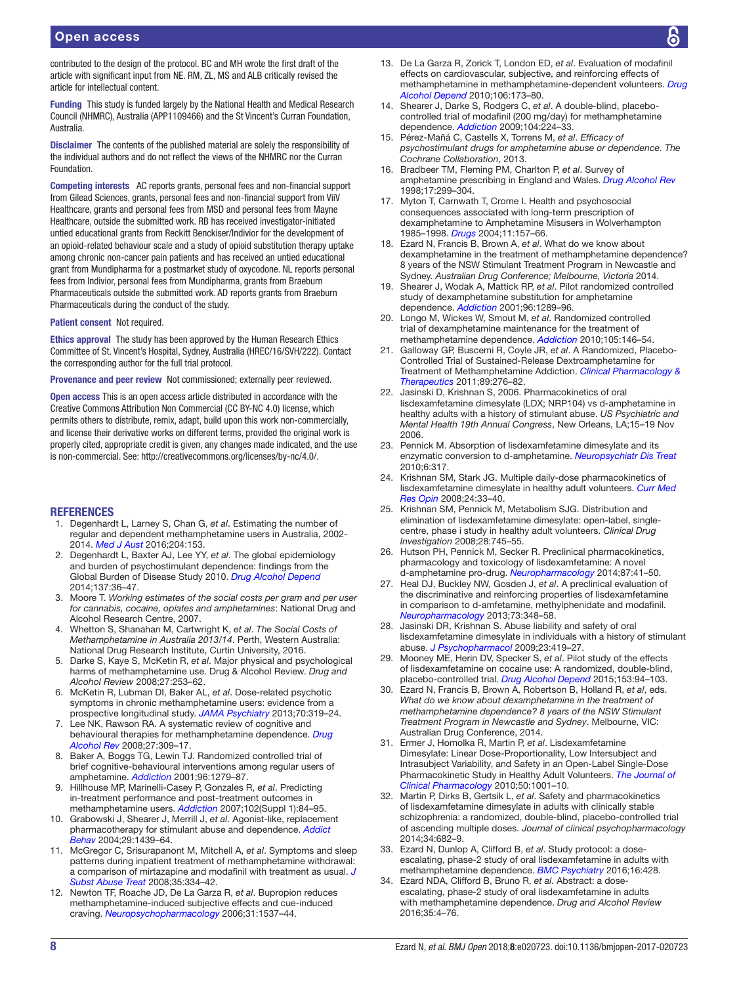### Open access

contributed to the design of the protocol. BC and MH wrote the first draft of the article with significant input from NE. RM, ZL, MS and ALB critically revised the article for intellectual content.

Funding This study is funded largely by the National Health and Medical Research Council (NHMRC), Australia (APP1109466) and the St Vincent's Curran Foundation, Australia.

Disclaimer The contents of the published material are solely the responsibility of the individual authors and do not reflect the views of the NHMRC nor the Curran Foundation.

Competing interests AC reports grants, personal fees and non-financial support from Gilead Sciences, grants, personal fees and non-financial support from ViiV Healthcare, grants and personal fees from MSD and personal fees from Mayne Healthcare, outside the submitted work. RB has received investigator-initiated untied educational grants from Reckitt Benckiser/Indivior for the development of an opioid-related behaviour scale and a study of opioid substitution therapy uptake among chronic non-cancer pain patients and has received an untied educational grant from Mundipharma for a postmarket study of oxycodone. NL reports personal fees from Indivior, personal fees from Mundipharma, grants from Braeburn Pharmaceuticals outside the submitted work. AD reports grants from Braeburn Pharmaceuticals during the conduct of the study.

### Patient consent Not required.

Ethics approval The study has been approved by the Human Research Ethics Committee of St. Vincent's Hospital, Sydney, Australia (HREC/16/SVH/222). Contact the corresponding author for the full trial protocol.

Provenance and peer review Not commissioned; externally peer reviewed.

Open access This is an open access article distributed in accordance with the Creative Commons Attribution Non Commercial (CC BY-NC 4.0) license, which permits others to distribute, remix, adapt, build upon this work non-commercially, and license their derivative works on different terms, provided the original work is properly cited, appropriate credit is given, any changes made indicated, and the use is non-commercial. See: <http://creativecommons.org/licenses/by-nc/4.0/>.

### **REFERENCES**

- <span id="page-7-0"></span>1. Degenhardt L, Larney S, Chan G, *et al*. Estimating the number of regular and dependent methamphetamine users in Australia, 2002- 2014. *[Med J Aust](http://dx.doi.org/10.5694/mja15.00671)* 2016;204:153.
- <span id="page-7-1"></span>2. Degenhardt L, Baxter AJ, Lee YY, *et al*. The global epidemiology and burden of psychostimulant dependence: findings from the Global Burden of Disease Study 2010. *[Drug Alcohol Depend](http://dx.doi.org/10.1016/j.drugalcdep.2013.12.025)* 2014;137:36–47.
- <span id="page-7-2"></span>3. Moore T. *Working estimates of the social costs per gram and per user for cannabis, cocaine, opiates and amphetamines*: National Drug and Alcohol Research Centre, 2007.
- 4. Whetton S, Shanahan M, Cartwright K, *et al*. *The Social Costs of Methamphetamine in Australia 2013/14*. Perth, Western Australia: National Drug Research Institute, Curtin University, 2016.
- <span id="page-7-3"></span>5. Darke S, Kaye S, McKetin R, *et al*. Major physical and psychological harms of methamphetamine use. Drug & Alcohol Review. *Drug and Alcohol Review* 2008;27:253–62.
- <span id="page-7-4"></span>6. McKetin R, Lubman DI, Baker AL, *et al*. Dose-related psychotic symptoms in chronic methamphetamine users: evidence from a prospective longitudinal study. *[JAMA Psychiatry](http://dx.doi.org/10.1001/jamapsychiatry.2013.283)* 2013;70:319–24.
- <span id="page-7-5"></span>7. Lee NK, Rawson RA. A systematic review of cognitive and behavioural therapies for methamphetamine dependence. *[Drug](http://dx.doi.org/10.1080/09595230801919494)  [Alcohol Rev](http://dx.doi.org/10.1080/09595230801919494)* 2008;27:309–17.
- <span id="page-7-6"></span>8. Baker A, Boggs TG, Lewin TJ. Randomized controlled trial of brief cognitive-behavioural interventions among regular users of amphetamine. *[Addiction](http://dx.doi.org/10.1046/j.1360-0443.2001.96912797.x)* 2001;96:1279–87.
- <span id="page-7-7"></span>9. Hillhouse MP, Marinelli-Casey P, Gonzales R, *et al*. Predicting in-treatment performance and post-treatment outcomes in methamphetamine users. *[Addiction](http://dx.doi.org/10.1111/j.1360-0443.2007.01768.x)* 2007;102(Suppl 1):84–95.
- <span id="page-7-8"></span>10. Grabowski J, Shearer J, Merrill J, *et al*. Agonist-like, replacement pharmacotherapy for stimulant abuse and dependence. *[Addict](http://dx.doi.org/10.1016/j.addbeh.2004.06.018)  [Behav](http://dx.doi.org/10.1016/j.addbeh.2004.06.018)* 2004;29:1439–64.
- <span id="page-7-9"></span>11. McGregor C, Srisurapanont M, Mitchell A, *et al*. Symptoms and sleep patterns during inpatient treatment of methamphetamine withdrawal: a comparison of mirtazapine and modafinil with treatment as usual. *[J](http://dx.doi.org/10.1016/j.jsat.2007.12.003)  [Subst Abuse Treat](http://dx.doi.org/10.1016/j.jsat.2007.12.003)* 2008;35:334–42.
- <span id="page-7-10"></span>12. Newton TF, Roache JD, De La Garza R, *et al*. Bupropion reduces methamphetamine-induced subjective effects and cue-induced craving. *[Neuropsychopharmacology](http://dx.doi.org/10.1038/sj.npp.1300979)* 2006;31:1537–44.
- <span id="page-7-11"></span>13. De La Garza R, Zorick T, London ED, *et al*. Evaluation of modafinil effects on cardiovascular, subjective, and reinforcing effects of methamphetamine in methamphetamine-dependent volunteers. *[Drug](http://dx.doi.org/10.1016/j.drugalcdep.2009.08.013)  [Alcohol Depend](http://dx.doi.org/10.1016/j.drugalcdep.2009.08.013)* 2010;106:173–80.
- <span id="page-7-12"></span>14. Shearer J, Darke S, Rodgers C, *et al*. A double-blind, placebocontrolled trial of modafinil (200 mg/day) for methamphetamine dependence. *[Addiction](http://dx.doi.org/10.1111/j.1360-0443.2008.02437.x)* 2009;104:224–33.
- <span id="page-7-13"></span>15. Pérez-Mañá C, Castells X, Torrens M, *et al*. *Efficacy of psychostimulant drugs for amphetamine abuse or dependence. The Cochrane Collaboration*, 2013.
- <span id="page-7-14"></span>16. Bradbeer TM, Fleming PM, Charlton P, *et al*. Survey of amphetamine prescribing in England and Wales. *[Drug Alcohol Rev](http://dx.doi.org/10.1080/09595239800187131)* 1998;17:299–304.
- 17. Myton T, Carnwath T, Crome I. Health and psychosocial consequences associated with long-term prescription of dexamphetamine to Amphetamine Misusers in Wolverhampton 1985–1998. *[Drugs](http://dx.doi.org/10.1080/09687630310001611170)* 2004;11:157–66.
- <span id="page-7-15"></span>18. Ezard N, Francis B, Brown A, *et al*. What do we know about dexamphetamine in the treatment of methamphetamine dependence? 8 years of the NSW Stimulant Treatment Program in Newcastle and Sydney. *Australian Drug Conference; Melbourne, Victoria* 2014.
- <span id="page-7-16"></span>19. Shearer J, Wodak A, Mattick RP, *et al*. Pilot randomized controlled study of dexamphetamine substitution for amphetamine dependence. *[Addiction](http://dx.doi.org/10.1046/j.1360-0443.2001.96912898.x)* 2001;96:1289–96.
- <span id="page-7-18"></span>20. Longo M, Wickes W, Smout M, *et al*. Randomized controlled trial of dexamphetamine maintenance for the treatment of methamphetamine dependence. *[Addiction](http://dx.doi.org/10.1111/j.1360-0443.2009.02717.x)* 2010;105:146–54.
- <span id="page-7-19"></span>21. Galloway GP, Buscemi R, Coyle JR, *et al*. A Randomized, Placebo-Controlled Trial of Sustained-Release Dextroamphetamine for Treatment of Methamphetamine Addiction. *[Clinical Pharmacology &](http://dx.doi.org/10.1038/clpt.2010.307)  [Therapeutics](http://dx.doi.org/10.1038/clpt.2010.307)* 2011;89:276–82.
- <span id="page-7-17"></span>22. Jasinski D, Krishnan S, 2006. Pharmacokinetics of oral lisdexamfetamine dimesylate (LDX; NRP104) vs d-amphetamine in healthy adults with a history of stimulant abuse. *US Psychiatric and Mental Health 19th Annual Congress*, New Orleans, LA;15–19 Nov 2006.
- <span id="page-7-20"></span>23. Pennick M. Absorption of lisdexamfetamine dimesylate and its enzymatic conversion to d-amphetamine. *[Neuropsychiatr Dis Treat](http://dx.doi.org/10.2147/NDT.S9749)* 2010;6:317.
- <span id="page-7-21"></span>24. Krishnan SM, Stark JG. Multiple daily-dose pharmacokinetics of lisdexamfetamine dimesylate in healthy adult volunteers. *[Curr Med](http://dx.doi.org/10.1185/030079908X242737)  [Res Opin](http://dx.doi.org/10.1185/030079908X242737)* 2008;24:33–40.
- <span id="page-7-22"></span>25. Krishnan SM, Pennick M, Metabolism SJG. Distribution and elimination of lisdexamfetamine dimesylate: open-label, singlecentre, phase i study in healthy adult volunteers. *Clinical Drug Investigation* 2008;28:745–55.
- <span id="page-7-23"></span>26. Hutson PH, Pennick M, Secker R. Preclinical pharmacokinetics, pharmacology and toxicology of lisdexamfetamine: A novel d-amphetamine pro-drug. *[Neuropharmacology](http://dx.doi.org/10.1016/j.neuropharm.2014.02.014)* 2014;87:41–50.
- <span id="page-7-24"></span>27. Heal DJ, Buckley NW, Gosden J, *et al*. A preclinical evaluation of the discriminative and reinforcing properties of lisdexamfetamine in comparison to d-amfetamine, methylphenidate and modafinil. *[Neuropharmacology](http://dx.doi.org/10.1016/j.neuropharm.2013.05.021)* 2013;73:348–58.
- <span id="page-7-25"></span>28. Jasinski DR, Krishnan S. Abuse liability and safety of oral lisdexamfetamine dimesylate in individuals with a history of stimulant abuse. *[J Psychopharmacol](http://dx.doi.org/10.1177/0269881109103113)* 2009;23:419–27.
- <span id="page-7-26"></span>29. Mooney ME, Herin DV, Specker S, *et al*. Pilot study of the effects of lisdexamfetamine on cocaine use: A randomized, double-blind, placebo-controlled trial. *[Drug Alcohol Depend](http://dx.doi.org/10.1016/j.drugalcdep.2015.05.042)* 2015;153:94–103.
- <span id="page-7-27"></span>30. Ezard N, Francis B, Brown A, Robertson B, Holland R, *et al*, eds. *What do we know about dexamphetamine in the treatment of methamphetamine dependence? 8 years of the NSW Stimulant Treatment Program in Newcastle and Sydney*. Melbourne, VIC: Australian Drug Conference, 2014.
- <span id="page-7-28"></span>31. Ermer J, Homolka R, Martin P, *et al*. Lisdexamfetamine Dimesylate: Linear Dose-Proportionality, Low Intersubject and Intrasubject Variability, and Safety in an Open-Label Single-Dose Pharmacokinetic Study in Healthy Adult Volunteers. *[The Journal of](http://dx.doi.org/10.1177/0091270009357346)  [Clinical Pharmacology](http://dx.doi.org/10.1177/0091270009357346)* 2010;50:1001–10.
- <span id="page-7-29"></span>32. Martin P, Dirks B, Gertsik L, *et al*. Safety and pharmacokinetics of lisdexamfetamine dimesylate in adults with clinically stable schizophrenia: a randomized, double-blind, placebo-controlled trial of ascending multiple doses. *Journal of clinical psychopharmacology* 2014;34:682–9.
- <span id="page-7-30"></span>33. Ezard N, Dunlop A, Clifford B, *et al*. Study protocol: a doseescalating, phase-2 study of oral lisdexamfetamine in adults with methamphetamine dependence. *[BMC Psychiatry](http://dx.doi.org/10.1186/s12888-016-1141-x)* 2016;16:428.
- <span id="page-7-31"></span>34. Ezard NDA, Clifford B, Bruno R, *et al*. Abstract: a doseescalating, phase-2 study of oral lisdexamfetamine in adults with methamphetamine dependence. *Drug and Alcohol Review* 2016;35:4–76.